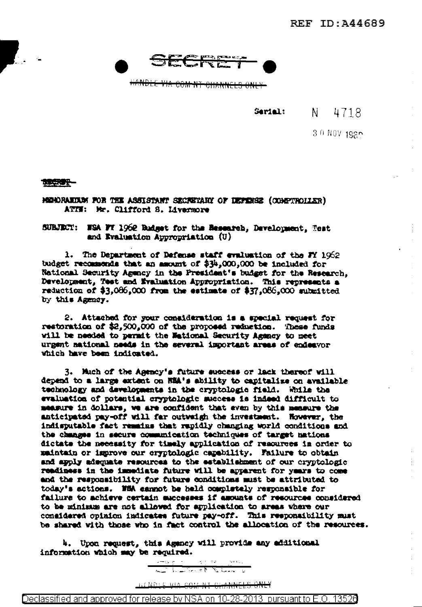

HANDLE VIA COM NT CHANNELS ONLY

Serial:

N 4718

3.0 NOV 1980

地质子

MONDRAKIUM FOR THE ASSISTANT SECRETARY OF DEPERSE (COMPTROLLER) ATIN: Mr. Clifford S. Livermore

SUBJECT: WEA FT 1962 Badget for the Besearch, Development, Test and Evaluation Appropriation (U)

1. The Department of Defense staff evaluation of the FY 1962 budget recommends that an amount of \$34,000,000 be included for National Security Agency in the President's budget for the Research. Development, Test and Evaluation Appropriation. This represents a reduction of \$3,086,000 from the estimate of \$37,086,000 submitted by this Agency.

2. Attached for your consideration is a special request for restoration of \$2,500,000 of the proposed reduction. These funds will be needed to permit the National Security Agency to meet urgent aational needs in the several important areas of endeavor which have been indicated.

3. Much of the Agency's future success or lack thereof will depend to a large extent on NEA's ability to capitalize on available technology and developments in the cryptologic field. While the evaluation of potential cryptologic muscess is indeed difficult to measure in dollars, we are confident that even by this measure the anticipated pay-off will far outwaigh the investment. However, the indisputable fact remains that rapidly changing world conditions and the changes in secure communication techniques of target nations dictate the necessity for timely application of resources in order to maintain or improve our cryptologic capability. Failure to obtain and apply adequate resources to the establishment of our cryptologic readiness in the immediate future will be apparent for years to come and the responsibility for future conditions must be attributed to today's actions. With earnot be held completely responsible for failure to achieve certain successes if amounts of resources considered to be minimum are not allowed for application to areas where our considered opinion indicates future pay-off. This responsibility must be shared with those who in fact control the allocation of the resources.

4. Upon request, this Agency will provide any additional information which may be required.

> $\lambda$  = by  $\sigma$  =  $\sigma$  = ing Kilean II <u>Little de Station de</u>

IN MOLE VIA COM NT CHANNELS ONLY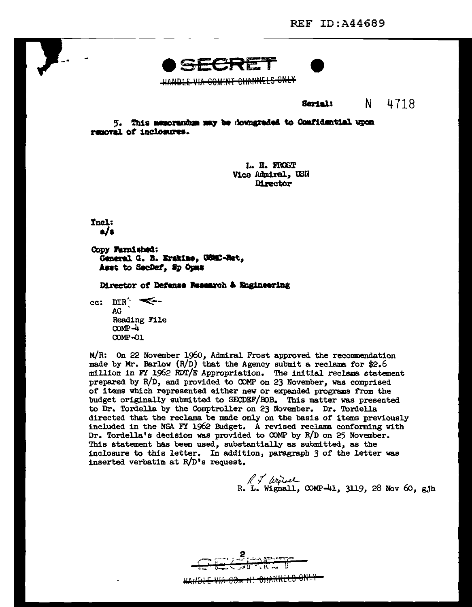COMINT CHANNELS ONLY

N. 4718 Serial:

5. This memorantum may be downgraded to Confidential upon removal of inclosures.

> L. H. FROST Vice Admiral, USN **Director**

**Thel:**  $\mathbf{d}$ 

Copy Furnished: Ceneral G. B. Erskine, USMC-Ret, Asst to SecDaf, Sp Opus

Director of Defense Research & Engineering

cc:  $DIR^{\prime}$   $\leq$ AG **Reading File**  $COMP - 4$ **COMP-01** 

M/R: On 22 November 1960, Admiral Frost approved the recommendation made by Mr. Barlow  $(R/D)$  that the Agency submit a reclama for \$2.6 million in FY 1962 RDT/E Appropriation. The initial reclama statement prepared by R/D, and provided to COMP on 23 November, was comprised of items which represented either new or expanded programs from the budget originally submitted to SECDEF/BOB. This matter was presented to Dr. Tordella by the Comptroller on 23 November. Dr. Tordella directed that the reclama be made only on the basis of items previously included in the NSA FY 1962 Budget. A revised reclama conforming with Dr. Tordella's decision was provided to COMP by R/D on 25 November. This statement has been used, substantially as submitted, as the inclosure to this letter. In addition, paragraph 3 of the letter was inserted verbatim at  $R/D$ <sup>'s</sup> request.

 $\pi$  dried<br>R. L. Wignall, COMP-41, 3119, 28 Nov 60, gjh

<del>HANDLE VIA COm IN CHARRELS ONLY</del>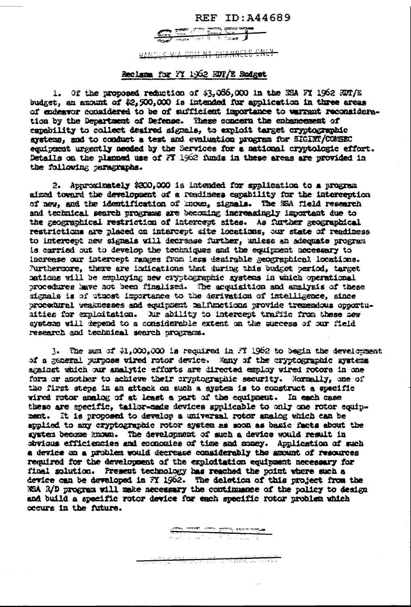## **REF ID: A44689**



HANDLE VIA COMENT CHANNELS CNLY

## Reclama for FY 1962 HDT/E Budget

1. Of the proposed reduction of \$3,086,000 in the NSA FY 1962 RDT/E budget, an amount of \$2,500,000 is intended for application in three areas of endeavor considered to be of sufficient importance to warrant reconsideration by the Department of Defense. These concern the enhancement of capability to collect desired signals, to exploit target cryptographic systems, and to conduct a test and evaluation program for SIGINT/COMSEC equipment urgently needed by the Services for a maticmal cryptologic effort. Details on the planned use of FT 1962 funds in these areas are provided in the following paragraphs.

2. Approximately \$200,000 is intended for spalleation to a program aimed toward the development of a readiness capability for the interception of new, and the identification of known, signals. The NSA field research and technical search programs are becoming increasingly important due to the geographical restriction of intercept sites. As further geographical restrictions are placed on intercept site locations, our state of readiness to intercept new signals will decrease further, unless an adequate program is carried out to develop the techniques and the equippent necessary to increase our intercept ranges from less deairable geographical locations. furthermore, there are indications that during this budget period, target nations will be employing new cryptographic systems in which operational procedures have not been finalized. The acquisition and analysis of these signals is of utmost importance to the derivation of intelligence, since procedural veaknesses and equipment malfunctions provide tremendous opportuaities for exploitation. Air ability to intercept traffic from these aew systems will depend to a considerable extent on the success of our field research and technical search programs.

3. The sam of \$1,000,000 is required in FI 1962 to begin the development of a general purpose vired rotor device. Many of the cryptographic systems against which our analytic efforts are directed employ wired rotors in one form or mother to achieve their cryptographic security. Normally, one of the first steps in an attack on such a system is to construct a specific wired rotor analog of at least a part of the equipment. In each case these are specific, tailor-sade devices applicable to only one rotor equipnent. It is proposed to develop a universal rotor analog which can be applied to any cryptographic rotor system as soon as basic facts about the system become known. The development of such a device would result in obvious efficiencies and economies of time and money. Application of such a device on a problem would decrease considerably the amount of resources required for the development of the exploitation equipment necessary for final solution. Present technology has reached the point where such a device can be developed in FT 1962. The deletion of this project from the NSA R/D progress will make necessary the continuance of the policy to design and build a specific rotor device for each specific rotor problem which occurs in the future.

<del>ਮ 30 ਫ਼ਰਮਾ ਸਾ 19 ਬੰਬ ਲੇ 11 ਟਿਰਟੈਂਟ ਦੇ ਸੰਬੰਧੀ</del> ਦ